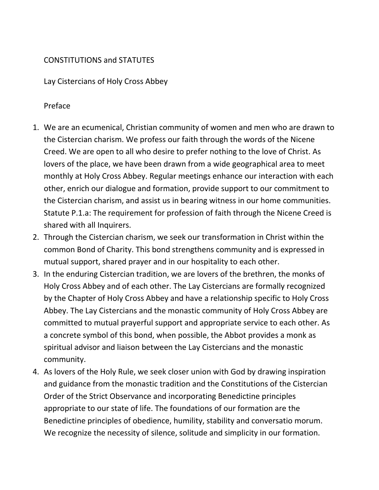## CONSTITUTIONS and STATUTES

Lay Cistercians of Holy Cross Abbey

## Preface

- 1. We are an ecumenical, Christian community of women and men who are drawn to the Cistercian charism. We profess our faith through the words of the Nicene Creed. We are open to all who desire to prefer nothing to the love of Christ. As lovers of the place, we have been drawn from a wide geographical area to meet monthly at Holy Cross Abbey. Regular meetings enhance our interaction with each other, enrich our dialogue and formation, provide support to our commitment to the Cistercian charism, and assist us in bearing witness in our home communities. Statute P.1.a: The requirement for profession of faith through the Nicene Creed is shared with all Inquirers.
- 2. Through the Cistercian charism, we seek our transformation in Christ within the common Bond of Charity. This bond strengthens community and is expressed in mutual support, shared prayer and in our hospitality to each other.
- 3. In the enduring Cistercian tradition, we are lovers of the brethren, the monks of Holy Cross Abbey and of each other. The Lay Cistercians are formally recognized by the Chapter of Holy Cross Abbey and have a relationship specific to Holy Cross Abbey. The Lay Cistercians and the monastic community of Holy Cross Abbey are committed to mutual prayerful support and appropriate service to each other. As a concrete symbol of this bond, when possible, the Abbot provides a monk as spiritual advisor and liaison between the Lay Cistercians and the monastic community.
- 4. As lovers of the Holy Rule, we seek closer union with God by drawing inspiration and guidance from the monastic tradition and the Constitutions of the Cistercian Order of the Strict Observance and incorporating Benedictine principles appropriate to our state of life. The foundations of our formation are the Benedictine principles of obedience, humility, stability and conversatio morum. We recognize the necessity of silence, solitude and simplicity in our formation.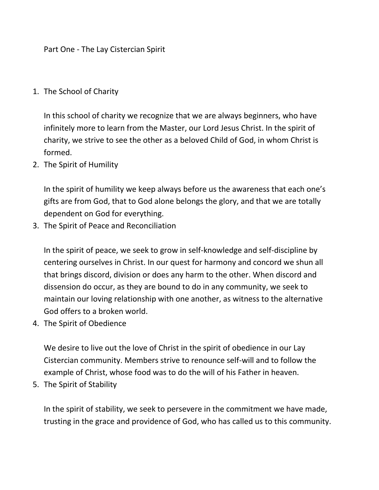Part One - The Lay Cistercian Spirit

## 1. The School of Charity

In this school of charity we recognize that we are always beginners, who have infinitely more to learn from the Master, our Lord Jesus Christ. In the spirit of charity, we strive to see the other as a beloved Child of God, in whom Christ is formed.

2. The Spirit of Humility

In the spirit of humility we keep always before us the awareness that each one's gifts are from God, that to God alone belongs the glory, and that we are totally dependent on God for everything.

3. The Spirit of Peace and Reconciliation

In the spirit of peace, we seek to grow in self-knowledge and self-discipline by centering ourselves in Christ. In our quest for harmony and concord we shun all that brings discord, division or does any harm to the other. When discord and dissension do occur, as they are bound to do in any community, we seek to maintain our loving relationship with one another, as witness to the alternative God offers to a broken world.

4. The Spirit of Obedience

We desire to live out the love of Christ in the spirit of obedience in our Lay Cistercian community. Members strive to renounce self-will and to follow the example of Christ, whose food was to do the will of his Father in heaven.

5. The Spirit of Stability

In the spirit of stability, we seek to persevere in the commitment we have made, trusting in the grace and providence of God, who has called us to this community.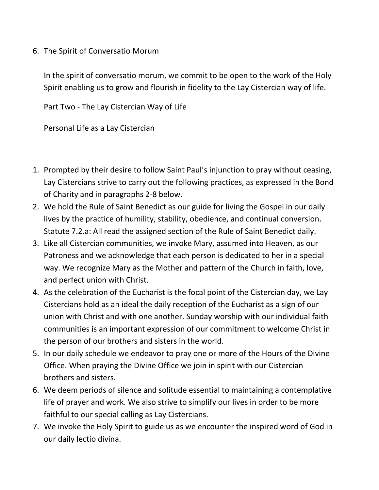6. The Spirit of Conversatio Morum

In the spirit of conversatio morum, we commit to be open to the work of the Holy Spirit enabling us to grow and flourish in fidelity to the Lay Cistercian way of life.

Part Two - The Lay Cistercian Way of Life

Personal Life as a Lay Cistercian

- 1. Prompted by their desire to follow Saint Paul's injunction to pray without ceasing, Lay Cistercians strive to carry out the following practices, as expressed in the Bond of Charity and in paragraphs 2-8 below.
- 2. We hold the Rule of Saint Benedict as our guide for living the Gospel in our daily lives by the practice of humility, stability, obedience, and continual conversion. Statute 7.2.a: All read the assigned section of the Rule of Saint Benedict daily.
- 3. Like all Cistercian communities, we invoke Mary, assumed into Heaven, as our Patroness and we acknowledge that each person is dedicated to her in a special way. We recognize Mary as the Mother and pattern of the Church in faith, love, and perfect union with Christ.
- 4. As the celebration of the Eucharist is the focal point of the Cistercian day, we Lay Cistercians hold as an ideal the daily reception of the Eucharist as a sign of our union with Christ and with one another. Sunday worship with our individual faith communities is an important expression of our commitment to welcome Christ in the person of our brothers and sisters in the world.
- 5. In our daily schedule we endeavor to pray one or more of the Hours of the Divine Office. When praying the Divine Office we join in spirit with our Cistercian brothers and sisters.
- 6. We deem periods of silence and solitude essential to maintaining a contemplative life of prayer and work. We also strive to simplify our lives in order to be more faithful to our special calling as Lay Cistercians.
- 7. We invoke the Holy Spirit to guide us as we encounter the inspired word of God in our daily lectio divina.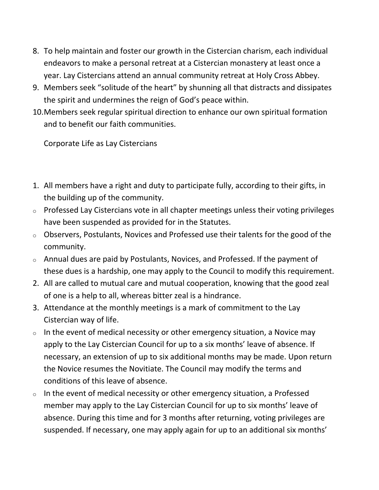- 8. To help maintain and foster our growth in the Cistercian charism, each individual endeavors to make a personal retreat at a Cistercian monastery at least once a year. Lay Cistercians attend an annual community retreat at Holy Cross Abbey.
- 9. Members seek "solitude of the heart" by shunning all that distracts and dissipates the spirit and undermines the reign of God's peace within.
- 10.Members seek regular spiritual direction to enhance our own spiritual formation and to benefit our faith communities.

Corporate Life as Lay Cistercians

- 1. All members have a right and duty to participate fully, according to their gifts, in the building up of the community.
- $\circ$  Professed Lay Cistercians vote in all chapter meetings unless their voting privileges have been suspended as provided for in the Statutes.
- $\circ$  Observers, Postulants, Novices and Professed use their talents for the good of the community.
- o Annual dues are paid by Postulants, Novices, and Professed. If the payment of these dues is a hardship, one may apply to the Council to modify this requirement.
- 2. All are called to mutual care and mutual cooperation, knowing that the good zeal of one is a help to all, whereas bitter zeal is a hindrance.
- 3. Attendance at the monthly meetings is a mark of commitment to the Lay Cistercian way of life.
- $\circ$  In the event of medical necessity or other emergency situation, a Novice may apply to the Lay Cistercian Council for up to a six months' leave of absence. If necessary, an extension of up to six additional months may be made. Upon return the Novice resumes the Novitiate. The Council may modify the terms and conditions of this leave of absence.
- $\circ$  In the event of medical necessity or other emergency situation, a Professed member may apply to the Lay Cistercian Council for up to six months' leave of absence. During this time and for 3 months after returning, voting privileges are suspended. If necessary, one may apply again for up to an additional six months'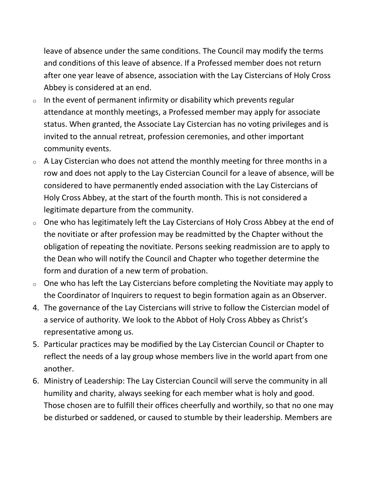leave of absence under the same conditions. The Council may modify the terms and conditions of this leave of absence. If a Professed member does not return after one year leave of absence, association with the Lay Cistercians of Holy Cross Abbey is considered at an end.

- $\circ$  In the event of permanent infirmity or disability which prevents regular attendance at monthly meetings, a Professed member may apply for associate status. When granted, the Associate Lay Cistercian has no voting privileges and is invited to the annual retreat, profession ceremonies, and other important community events.
- $\circ$  A Lay Cistercian who does not attend the monthly meeting for three months in a row and does not apply to the Lay Cistercian Council for a leave of absence, will be considered to have permanently ended association with the Lay Cistercians of Holy Cross Abbey, at the start of the fourth month. This is not considered a legitimate departure from the community.
- $\circ$  One who has legitimately left the Lay Cistercians of Holy Cross Abbey at the end of the novitiate or after profession may be readmitted by the Chapter without the obligation of repeating the novitiate. Persons seeking readmission are to apply to the Dean who will notify the Council and Chapter who together determine the form and duration of a new term of probation.
- $\circ$  One who has left the Lay Cistercians before completing the Novitiate may apply to the Coordinator of Inquirers to request to begin formation again as an Observer.
- 4. The governance of the Lay Cistercians will strive to follow the Cistercian model of a service of authority. We look to the Abbot of Holy Cross Abbey as Christ's representative among us.
- 5. Particular practices may be modified by the Lay Cistercian Council or Chapter to reflect the needs of a lay group whose members live in the world apart from one another.
- 6. Ministry of Leadership: The Lay Cistercian Council will serve the community in all humility and charity, always seeking for each member what is holy and good. Those chosen are to fulfill their offices cheerfully and worthily, so that no one may be disturbed or saddened, or caused to stumble by their leadership. Members are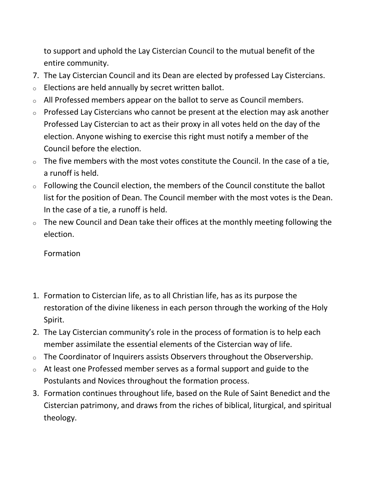to support and uphold the Lay Cistercian Council to the mutual benefit of the entire community.

- 7. The Lay Cistercian Council and its Dean are elected by professed Lay Cistercians.
- $\circ$  Elections are held annually by secret written ballot.
- o All Professed members appear on the ballot to serve as Council members.
- $\circ$  Professed Lay Cistercians who cannot be present at the election may ask another Professed Lay Cistercian to act as their proxy in all votes held on the day of the election. Anyone wishing to exercise this right must notify a member of the Council before the election.
- $\circ$  The five members with the most votes constitute the Council. In the case of a tie, a runoff is held.
- $\circ$  Following the Council election, the members of the Council constitute the ballot list for the position of Dean. The Council member with the most votes is the Dean. In the case of a tie, a runoff is held.
- $\circ$  The new Council and Dean take their offices at the monthly meeting following the election.

Formation

- 1. Formation to Cistercian life, as to all Christian life, has as its purpose the restoration of the divine likeness in each person through the working of the Holy Spirit.
- 2. The Lay Cistercian community's role in the process of formation is to help each member assimilate the essential elements of the Cistercian way of life.
- o The Coordinator of Inquirers assists Observers throughout the Observership.
- o At least one Professed member serves as a formal support and guide to the Postulants and Novices throughout the formation process.
- 3. Formation continues throughout life, based on the Rule of Saint Benedict and the Cistercian patrimony, and draws from the riches of biblical, liturgical, and spiritual theology.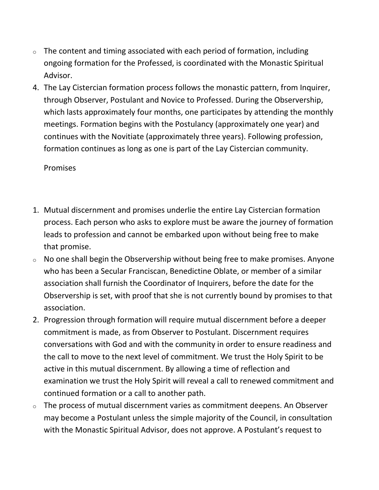- $\circ$  The content and timing associated with each period of formation, including ongoing formation for the Professed, is coordinated with the Monastic Spiritual Advisor.
- 4. The Lay Cistercian formation process follows the monastic pattern, from Inquirer, through Observer, Postulant and Novice to Professed. During the Observership, which lasts approximately four months, one participates by attending the monthly meetings. Formation begins with the Postulancy (approximately one year) and continues with the Novitiate (approximately three years). Following profession, formation continues as long as one is part of the Lay Cistercian community.

## Promises

- 1. Mutual discernment and promises underlie the entire Lay Cistercian formation process. Each person who asks to explore must be aware the journey of formation leads to profession and cannot be embarked upon without being free to make that promise.
- o No one shall begin the Observership without being free to make promises. Anyone who has been a Secular Franciscan, Benedictine Oblate, or member of a similar association shall furnish the Coordinator of Inquirers, before the date for the Observership is set, with proof that she is not currently bound by promises to that association.
- 2. Progression through formation will require mutual discernment before a deeper commitment is made, as from Observer to Postulant. Discernment requires conversations with God and with the community in order to ensure readiness and the call to move to the next level of commitment. We trust the Holy Spirit to be active in this mutual discernment. By allowing a time of reflection and examination we trust the Holy Spirit will reveal a call to renewed commitment and continued formation or a call to another path.
- $\circ$  The process of mutual discernment varies as commitment deepens. An Observer may become a Postulant unless the simple majority of the Council, in consultation with the Monastic Spiritual Advisor, does not approve. A Postulant's request to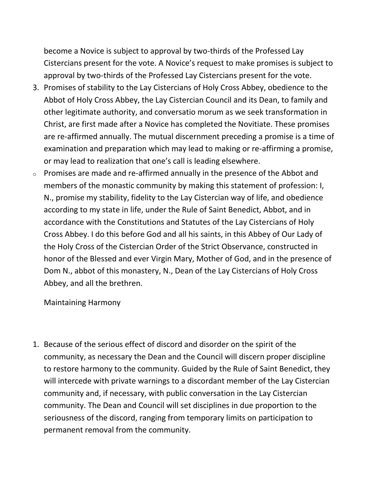become a Novice is subject to approval by two-thirds of the Professed Lay Cistercians present for the vote. A Novice's request to make promises is subject to approval by two-thirds of the Professed Lay Cistercians present for the vote.

- 3. Promises of stability to the Lay Cistercians of Holy Cross Abbey, obedience to the Abbot of Holy Cross Abbey, the Lay Cistercian Council and its Dean, to family and other legitimate authority, and conversatio morum as we seek transformation in Christ, are first made after a Novice has completed the Novitiate. These promises are re-affirmed annually. The mutual discernment preceding a promise is a time of examination and preparation which may lead to making or re-affirming a promise, or may lead to realization that one's call is leading elsewhere.
- $\circ$  Promises are made and re-affirmed annually in the presence of the Abbot and members of the monastic community by making this statement of profession: I, N., promise my stability, fidelity to the Lay Cistercian way of life, and obedience according to my state in life, under the Rule of Saint Benedict, Abbot, and in accordance with the Constitutions and Statutes of the Lay Cistercians of Holy Cross Abbey. I do this before God and all his saints, in this Abbey of Our Lady of the Holy Cross of the Cistercian Order of the Strict Observance, constructed in honor of the Blessed and ever Virgin Mary, Mother of God, and in the presence of Dom N., abbot of this monastery, N., Dean of the Lay Cistercians of Holy Cross Abbey, and all the brethren.

Maintaining Harmony

1. Because of the serious effect of discord and disorder on the spirit of the community, as necessary the Dean and the Council will discern proper discipline to restore harmony to the community. Guided by the Rule of Saint Benedict, they will intercede with private warnings to a discordant member of the Lay Cistercian community and, if necessary, with public conversation in the Lay Cistercian community. The Dean and Council will set disciplines in due proportion to the seriousness of the discord, ranging from temporary limits on participation to permanent removal from the community.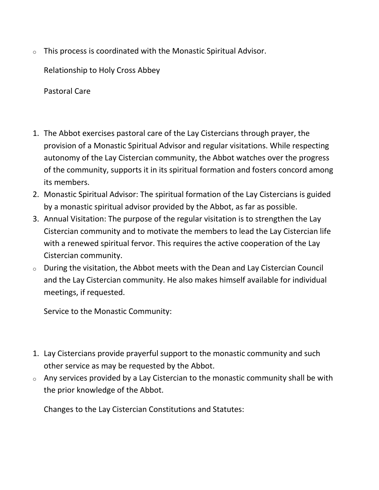$\circ$  This process is coordinated with the Monastic Spiritual Advisor.

Relationship to Holy Cross Abbey

Pastoral Care

- 1. The Abbot exercises pastoral care of the Lay Cistercians through prayer, the provision of a Monastic Spiritual Advisor and regular visitations. While respecting autonomy of the Lay Cistercian community, the Abbot watches over the progress of the community, supports it in its spiritual formation and fosters concord among its members.
- 2. Monastic Spiritual Advisor: The spiritual formation of the Lay Cistercians is guided by a monastic spiritual advisor provided by the Abbot, as far as possible.
- 3. Annual Visitation: The purpose of the regular visitation is to strengthen the Lay Cistercian community and to motivate the members to lead the Lay Cistercian life with a renewed spiritual fervor. This requires the active cooperation of the Lay Cistercian community.
- $\circ$  During the visitation, the Abbot meets with the Dean and Lay Cistercian Council and the Lay Cistercian community. He also makes himself available for individual meetings, if requested.

Service to the Monastic Community:

- 1. Lay Cistercians provide prayerful support to the monastic community and such other service as may be requested by the Abbot.
- $\circ$  Any services provided by a Lay Cistercian to the monastic community shall be with the prior knowledge of the Abbot.

Changes to the Lay Cistercian Constitutions and Statutes: